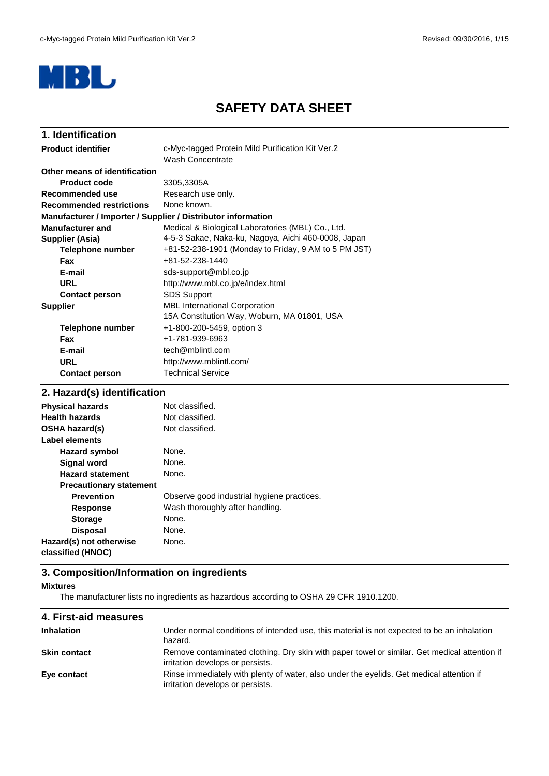

# **SAFETY DATA SHEET**

| 1. Identification               |                                                              |
|---------------------------------|--------------------------------------------------------------|
| <b>Product identifier</b>       | c-Myc-tagged Protein Mild Purification Kit Ver.2             |
|                                 | Wash Concentrate                                             |
| Other means of identification   |                                                              |
| Product code                    | 3305,3305A                                                   |
| Recommended use                 | Research use only.                                           |
| <b>Recommended restrictions</b> | None known.                                                  |
|                                 | Manufacturer / Importer / Supplier / Distributor information |
| <b>Manufacturer and</b>         | Medical & Biological Laboratories (MBL) Co., Ltd.            |
| Supplier (Asia)                 | 4-5-3 Sakae, Naka-ku, Nagoya, Aichi 460-0008, Japan          |
| <b>Telephone number</b>         | +81-52-238-1901 (Monday to Friday, 9 AM to 5 PM JST)         |
| <b>Fax</b>                      | +81-52-238-1440                                              |
| E-mail                          | sds-support@mbl.co.jp                                        |
| <b>URL</b>                      | http://www.mbl.co.jp/e/index.html                            |
| <b>Contact person</b>           | <b>SDS Support</b>                                           |
| <b>Supplier</b>                 | <b>MBL International Corporation</b>                         |
|                                 | 15A Constitution Way, Woburn, MA 01801, USA                  |
| Telephone number                | +1-800-200-5459, option 3                                    |
| Fax                             | +1-781-939-6963                                              |
| E-mail                          | tech@mblintl.com                                             |
| <b>URL</b>                      | http://www.mblintl.com/                                      |
| <b>Contact person</b>           | <b>Technical Service</b>                                     |
|                                 |                                                              |

## **2. Hazard(s) identification**

| <b>Physical hazards</b>        | Not classified.                            |
|--------------------------------|--------------------------------------------|
| <b>Health hazards</b>          | Not classified.                            |
| <b>OSHA hazard(s)</b>          | Not classified.                            |
| Label elements                 |                                            |
| <b>Hazard symbol</b>           | None.                                      |
| <b>Signal word</b>             | None.                                      |
| <b>Hazard statement</b>        | None.                                      |
| <b>Precautionary statement</b> |                                            |
| <b>Prevention</b>              | Observe good industrial hygiene practices. |
| <b>Response</b>                | Wash thoroughly after handling.            |
| <b>Storage</b>                 | None.                                      |
| <b>Disposal</b>                | None.                                      |
| Hazard(s) not otherwise        | None.                                      |
| classified (HNOC)              |                                            |

### **3. Composition/Information on ingredients**

#### **Mixtures**

The manufacturer lists no ingredients as hazardous according to OSHA 29 CFR 1910.1200.

| 4. First-aid measures |                                                                                                                                  |
|-----------------------|----------------------------------------------------------------------------------------------------------------------------------|
| <b>Inhalation</b>     | Under normal conditions of intended use, this material is not expected to be an inhalation<br>hazard.                            |
| <b>Skin contact</b>   | Remove contaminated clothing. Dry skin with paper towel or similar. Get medical attention if<br>irritation develops or persists. |
| Eye contact           | Rinse immediately with plenty of water, also under the eyelids. Get medical attention if<br>irritation develops or persists.     |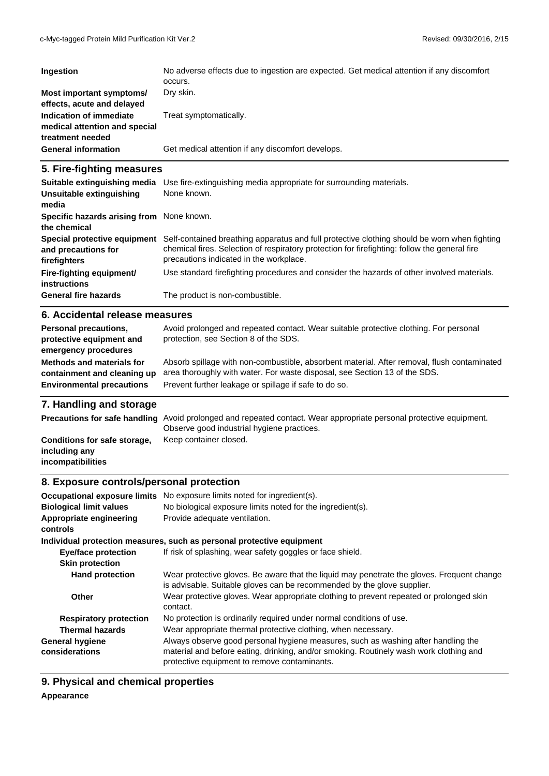| Ingestion                                                                    | No adverse effects due to ingestion are expected. Get medical attention if any discomfort<br>occurs. |
|------------------------------------------------------------------------------|------------------------------------------------------------------------------------------------------|
| Most important symptoms/<br>effects, acute and delayed                       | Dry skin.                                                                                            |
| Indication of immediate<br>medical attention and special<br>treatment needed | Treat symptomatically.                                                                               |
| <b>General information</b>                                                   | Get medical attention if any discomfort develops.                                                    |

### **5. Fire-fighting measures**

| Suitable extinguishing media<br>Unsuitable extinguishing<br>media   | Use fire-extinguishing media appropriate for surrounding materials.<br>None known.                                                                                                                                                       |
|---------------------------------------------------------------------|------------------------------------------------------------------------------------------------------------------------------------------------------------------------------------------------------------------------------------------|
| Specific hazards arising from None known.<br>the chemical           |                                                                                                                                                                                                                                          |
| Special protective equipment<br>and precautions for<br>firefighters | Self-contained breathing apparatus and full protective clothing should be worn when fighting<br>chemical fires. Selection of respiratory protection for firefighting: follow the general fire<br>precautions indicated in the workplace. |
| Fire-fighting equipment/<br><b>instructions</b>                     | Use standard firefighting procedures and consider the hazards of other involved materials.                                                                                                                                               |
| <b>General fire hazards</b>                                         | The product is non-combustible.                                                                                                                                                                                                          |

#### **6. Accidental release measures**

| <b>Personal precautions,</b><br>protective equipment and<br>emergency procedures | Avoid prolonged and repeated contact. Wear suitable protective clothing. For personal<br>protection, see Section 8 of the SDS. |
|----------------------------------------------------------------------------------|--------------------------------------------------------------------------------------------------------------------------------|
| <b>Methods and materials for</b>                                                 | Absorb spillage with non-combustible, absorbent material. After removal, flush contaminated                                    |
| containment and cleaning up                                                      | area thoroughly with water. For waste disposal, see Section 13 of the SDS.                                                     |
| <b>Environmental precautions</b>                                                 | Prevent further leakage or spillage if safe to do so.                                                                          |

# **7. Handling and storage**

|                                                                    | Precautions for safe handling Avoid prolonged and repeated contact. Wear appropriate personal protective equipment. |
|--------------------------------------------------------------------|---------------------------------------------------------------------------------------------------------------------|
|                                                                    | Observe good industrial hygiene practices.                                                                          |
| Conditions for safe storage,<br>including any<br>incompatibilities | Keep container closed.                                                                                              |

## **8. Exposure controls/personal protection**

| <b>Occupational exposure limits</b>      | No exposure limits noted for ingredient(s).                                                                                                                                                                                 |
|------------------------------------------|-----------------------------------------------------------------------------------------------------------------------------------------------------------------------------------------------------------------------------|
| <b>Biological limit values</b>           | No biological exposure limits noted for the ingredient(s).                                                                                                                                                                  |
| Appropriate engineering<br>controls      | Provide adequate ventilation.                                                                                                                                                                                               |
|                                          | Individual protection measures, such as personal protective equipment                                                                                                                                                       |
| <b>Eye/face protection</b>               | If risk of splashing, wear safety goggles or face shield.                                                                                                                                                                   |
| <b>Skin protection</b>                   |                                                                                                                                                                                                                             |
| <b>Hand protection</b>                   | Wear protective gloves. Be aware that the liquid may penetrate the gloves. Frequent change<br>is advisable. Suitable gloves can be recommended by the glove supplier.                                                       |
| Other                                    | Wear protective gloves. Wear appropriate clothing to prevent repeated or prolonged skin<br>contact.                                                                                                                         |
| <b>Respiratory protection</b>            | No protection is ordinarily required under normal conditions of use.                                                                                                                                                        |
| <b>Thermal hazards</b>                   | Wear appropriate thermal protective clothing, when necessary.                                                                                                                                                               |
| <b>General hygiene</b><br>considerations | Always observe good personal hygiene measures, such as washing after handling the<br>material and before eating, drinking, and/or smoking. Routinely wash work clothing and<br>protective equipment to remove contaminants. |

**9. Physical and chemical properties**

#### **Appearance**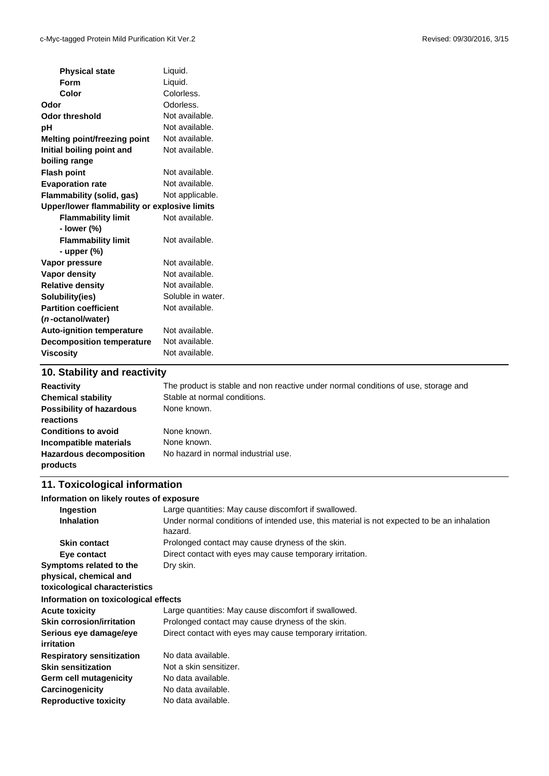| <b>Physical state</b>                        | Liquid.           |
|----------------------------------------------|-------------------|
| <b>Form</b>                                  | Liquid.           |
| Color                                        | Colorless.        |
| Odor                                         | Odorless.         |
| <b>Odor threshold</b>                        | Not available.    |
| pH                                           | Not available.    |
| <b>Melting point/freezing point</b>          | Not available.    |
| Initial boiling point and                    | Not available.    |
| boiling range                                |                   |
| <b>Flash point</b>                           | Not available.    |
| <b>Evaporation rate</b>                      | Not available.    |
| Flammability (solid, gas)                    | Not applicable.   |
| Upper/lower flammability or explosive limits |                   |
| <b>Flammability limit</b>                    | Not available.    |
| - lower (%)                                  |                   |
| <b>Flammability limit</b>                    | Not available.    |
| - upper (%)                                  |                   |
| Vapor pressure                               | Not available.    |
| Vapor density                                | Not available.    |
| <b>Relative density</b>                      | Not available.    |
| Solubility(ies)                              | Soluble in water. |
| <b>Partition coefficient</b>                 | Not available.    |
| (n-octanol/water)                            |                   |
| <b>Auto-ignition temperature</b>             | Not available.    |
| <b>Decomposition temperature</b>             | Not available.    |
| <b>Viscosity</b>                             | Not available.    |
| $AD$ Cichility and reactivity                |                   |

#### **10. Stability and reactivity**

| <b>Reactivity</b>                            | The product is stable and non reactive under normal conditions of use, storage and |
|----------------------------------------------|------------------------------------------------------------------------------------|
| <b>Chemical stability</b>                    | Stable at normal conditions.                                                       |
| <b>Possibility of hazardous</b><br>reactions | None known.                                                                        |
| <b>Conditions to avoid</b>                   | None known.                                                                        |
| Incompatible materials                       | None known.                                                                        |
| <b>Hazardous decomposition</b><br>products   | No hazard in normal industrial use.                                                |

# **11. Toxicological information**

| Information on likely routes of exposure |                                                                                                       |
|------------------------------------------|-------------------------------------------------------------------------------------------------------|
| Ingestion                                | Large quantities: May cause discomfort if swallowed.                                                  |
| <b>Inhalation</b>                        | Under normal conditions of intended use, this material is not expected to be an inhalation<br>hazard. |
| <b>Skin contact</b>                      | Prolonged contact may cause dryness of the skin.                                                      |
| Eye contact                              | Direct contact with eyes may cause temporary irritation.                                              |
| Symptoms related to the                  | Dry skin.                                                                                             |
| physical, chemical and                   |                                                                                                       |
| toxicological characteristics            |                                                                                                       |
| Information on toxicological effects     |                                                                                                       |
| <b>Acute toxicity</b>                    | Large quantities: May cause discomfort if swallowed.                                                  |
| <b>Skin corrosion/irritation</b>         | Prolonged contact may cause dryness of the skin.                                                      |
| Serious eye damage/eye                   | Direct contact with eyes may cause temporary irritation.                                              |
| irritation                               |                                                                                                       |
| <b>Respiratory sensitization</b>         | No data available.                                                                                    |
| <b>Skin sensitization</b>                | Not a skin sensitizer.                                                                                |
| Germ cell mutagenicity                   | No data available.                                                                                    |
| Carcinogenicity                          | No data available.                                                                                    |
| <b>Reproductive toxicity</b>             | No data available.                                                                                    |
|                                          |                                                                                                       |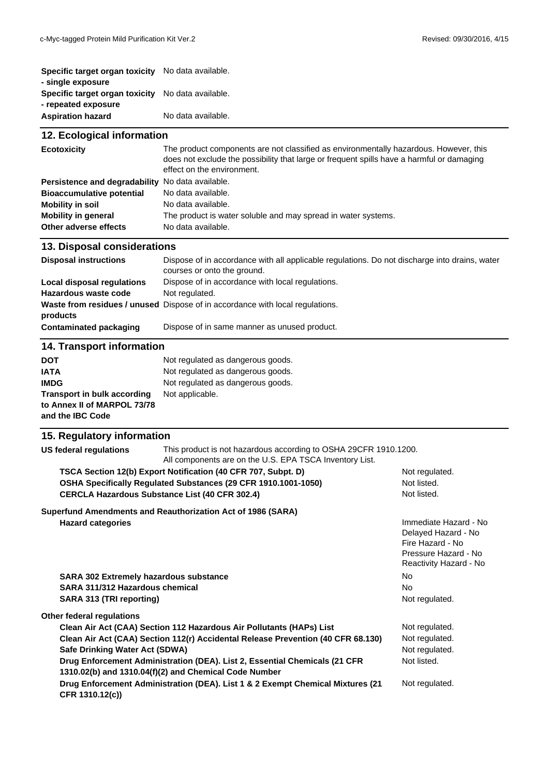| Specific target organ toxicity No data available.        |                    |
|----------------------------------------------------------|--------------------|
| - single exposure                                        |                    |
| <b>Specific target organ toxicity</b> No data available. |                    |
| - repeated exposure                                      |                    |
| <b>Aspiration hazard</b>                                 | No data available. |
|                                                          |                    |

| 12. Ecological information                       |                                                                                                                                                                                                                  |  |
|--------------------------------------------------|------------------------------------------------------------------------------------------------------------------------------------------------------------------------------------------------------------------|--|
| <b>Ecotoxicity</b>                               | The product components are not classified as environmentally hazardous. However, this<br>does not exclude the possibility that large or frequent spills have a harmful or damaging<br>effect on the environment. |  |
| Persistence and degradability No data available. |                                                                                                                                                                                                                  |  |
| <b>Bioaccumulative potential</b>                 | No data available.                                                                                                                                                                                               |  |
| <b>Mobility in soil</b>                          | No data available.                                                                                                                                                                                               |  |
| <b>Mobility in general</b>                       | The product is water soluble and may spread in water systems.                                                                                                                                                    |  |
| Other adverse effects                            | No data available.                                                                                                                                                                                               |  |

#### **13. Disposal considerations**

| <b>Disposal instructions</b> | Dispose of in accordance with all applicable regulations. Do not discharge into drains, water<br>courses or onto the ground. |
|------------------------------|------------------------------------------------------------------------------------------------------------------------------|
| Local disposal regulations   | Dispose of in accordance with local regulations.                                                                             |
| Hazardous waste code         | Not regulated.                                                                                                               |
|                              | Waste from residues / unused Dispose of in accordance with local regulations.                                                |
| products                     |                                                                                                                              |
| Contaminated packaging       | Dispose of in same manner as unused product.                                                                                 |

### **14. Transport information**

| <b>DOT</b>                         | Not regulated as dangerous goods. |
|------------------------------------|-----------------------------------|
| <b>IATA</b>                        | Not regulated as dangerous goods. |
| <b>IMDG</b>                        | Not regulated as dangerous goods. |
| <b>Transport in bulk according</b> | Not applicable.                   |
| to Annex II of MARPOL 73/78        |                                   |
| and the IBC Code                   |                                   |

### **15. Regulatory information**

| US federal regulations                                                                                                                                                                   | This product is not hazardous according to OSHA 29CFR 1910.1200.<br>All components are on the U.S. EPA TSCA Inventory List.         |                                                                                                                    |
|------------------------------------------------------------------------------------------------------------------------------------------------------------------------------------------|-------------------------------------------------------------------------------------------------------------------------------------|--------------------------------------------------------------------------------------------------------------------|
| TSCA Section 12(b) Export Notification (40 CFR 707, Subpt. D)<br>OSHA Specifically Regulated Substances (29 CFR 1910.1001-1050)<br><b>CERCLA Hazardous Substance List (40 CFR 302.4)</b> |                                                                                                                                     | Not regulated.<br>Not listed.<br>Not listed.                                                                       |
| <b>Hazard categories</b>                                                                                                                                                                 | Superfund Amendments and Reauthorization Act of 1986 (SARA)                                                                         | Immediate Hazard - No<br>Delayed Hazard - No<br>Fire Hazard - No<br>Pressure Hazard - No<br>Reactivity Hazard - No |
| <b>SARA 302 Extremely hazardous substance</b>                                                                                                                                            |                                                                                                                                     | No.                                                                                                                |
| SARA 311/312 Hazardous chemical                                                                                                                                                          |                                                                                                                                     | No.                                                                                                                |
| SARA 313 (TRI reporting)                                                                                                                                                                 |                                                                                                                                     | Not regulated.                                                                                                     |
| Other federal regulations                                                                                                                                                                |                                                                                                                                     |                                                                                                                    |
|                                                                                                                                                                                          | Clean Air Act (CAA) Section 112 Hazardous Air Pollutants (HAPs) List                                                                | Not regulated.                                                                                                     |
| Clean Air Act (CAA) Section 112(r) Accidental Release Prevention (40 CFR 68.130)                                                                                                         |                                                                                                                                     | Not regulated.                                                                                                     |
| Safe Drinking Water Act (SDWA)                                                                                                                                                           |                                                                                                                                     | Not regulated.                                                                                                     |
|                                                                                                                                                                                          | Drug Enforcement Administration (DEA). List 2, Essential Chemicals (21 CFR<br>1310.02(b) and 1310.04(f)(2) and Chemical Code Number | Not listed.                                                                                                        |
| Drug Enforcement Administration (DEA). List 1 & 2 Exempt Chemical Mixtures (21<br>CFR 1310.12(c))                                                                                        |                                                                                                                                     | Not regulated.                                                                                                     |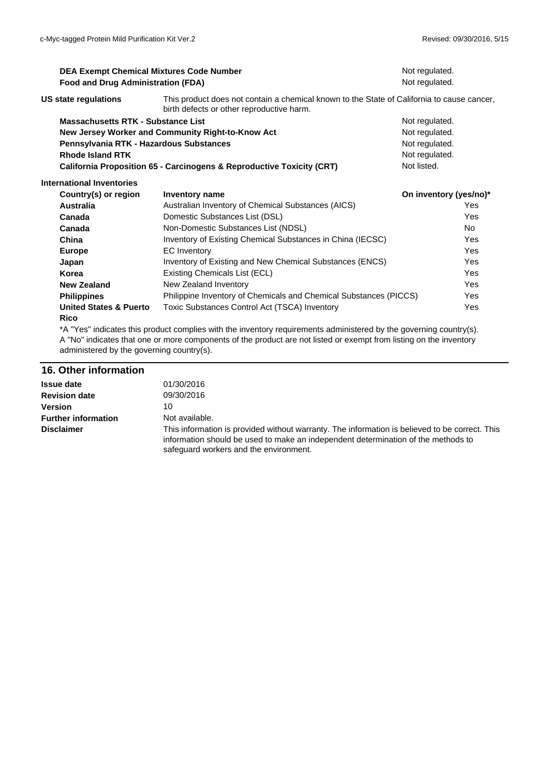| <b>DEA Exempt Chemical Mixtures Code Number</b><br><b>Food and Drug Administration (FDA)</b> |                                                                                                                    | Not regulated.<br>Not regulated. |            |
|----------------------------------------------------------------------------------------------|--------------------------------------------------------------------------------------------------------------------|----------------------------------|------------|
|                                                                                              |                                                                                                                    |                                  |            |
| Massachusetts RTK - Substance List                                                           |                                                                                                                    | Not regulated.                   |            |
|                                                                                              | New Jersey Worker and Community Right-to-Know Act                                                                  | Not regulated.                   |            |
| Pennsylvania RTK - Hazardous Substances                                                      |                                                                                                                    | Not regulated.                   |            |
| <b>Rhode Island RTK</b>                                                                      |                                                                                                                    | Not regulated.                   |            |
| California Proposition 65 - Carcinogens & Reproductive Toxicity (CRT)                        |                                                                                                                    | Not listed.                      |            |
| <b>International Inventories</b>                                                             |                                                                                                                    |                                  |            |
| Country(s) or region                                                                         | Inventory name                                                                                                     | On inventory (yes/no)*           |            |
| <b>Australia</b>                                                                             | Australian Inventory of Chemical Substances (AICS)                                                                 |                                  | Yes        |
| Canada                                                                                       | Domestic Substances List (DSL)                                                                                     |                                  | <b>Yes</b> |
| Canada                                                                                       | Non-Domestic Substances List (NDSL)                                                                                |                                  | No         |
| China                                                                                        | Inventory of Existing Chemical Substances in China (IECSC)                                                         |                                  | Yes        |
| <b>Europe</b>                                                                                | EC Inventory                                                                                                       |                                  | <b>Yes</b> |
| Japan                                                                                        | Inventory of Existing and New Chemical Substances (ENCS)                                                           |                                  | Yes        |
| Korea                                                                                        | Existing Chemicals List (ECL)                                                                                      |                                  | Yes        |
| <b>New Zealand</b>                                                                           | New Zealand Inventory                                                                                              |                                  | <b>Yes</b> |
| <b>Philippines</b>                                                                           | Philippine Inventory of Chemicals and Chemical Substances (PICCS)                                                  |                                  | <b>Yes</b> |
| <b>United States &amp; Puerto</b>                                                            | Toxic Substances Control Act (TSCA) Inventory                                                                      |                                  | Yes        |
| <b>Rico</b>                                                                                  |                                                                                                                    |                                  |            |
|                                                                                              | *A "Yes" indicates this product complies with the inventory requirements administered by the governing country(s). |                                  |            |

A "No" indicates that one or more components of the product are not listed or exempt from listing on the inventory administered by the governing country(s).

# **16. Other information**

| <b>Issue date</b>          | 01/30/2016                                                                                                                                                                                                                    |
|----------------------------|-------------------------------------------------------------------------------------------------------------------------------------------------------------------------------------------------------------------------------|
| <b>Revision date</b>       | 09/30/2016                                                                                                                                                                                                                    |
| Version                    | 10                                                                                                                                                                                                                            |
| <b>Further information</b> | Not available.                                                                                                                                                                                                                |
| <b>Disclaimer</b>          | This information is provided without warranty. The information is believed to be correct. This<br>information should be used to make an independent determination of the methods to<br>safequard workers and the environment. |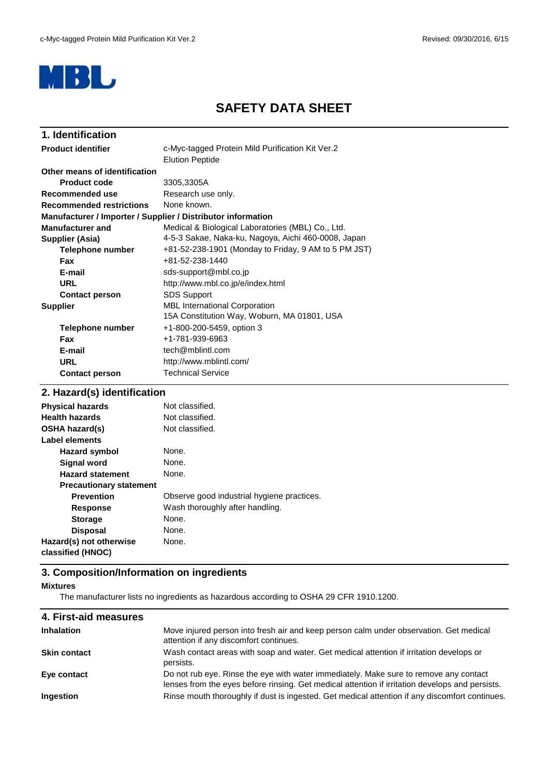

# **SAFETY DATA SHEET**

| 1. Identification               |                                                                            |
|---------------------------------|----------------------------------------------------------------------------|
| <b>Product identifier</b>       | c-Myc-tagged Protein Mild Purification Kit Ver.2<br><b>Elution Peptide</b> |
| Other means of identification   |                                                                            |
| <b>Product code</b>             | 3305,3305A                                                                 |
| Recommended use                 | Research use only.                                                         |
| <b>Recommended restrictions</b> | None known.                                                                |
|                                 | Manufacturer / Importer / Supplier / Distributor information               |
| <b>Manufacturer and</b>         | Medical & Biological Laboratories (MBL) Co., Ltd.                          |
| Supplier (Asia)                 | 4-5-3 Sakae, Naka-ku, Nagoya, Aichi 460-0008, Japan                        |
| <b>Telephone number</b>         | +81-52-238-1901 (Monday to Friday, 9 AM to 5 PM JST)                       |
| <b>Fax</b>                      | +81-52-238-1440                                                            |
| E-mail                          | sds-support@mbl.co.jp                                                      |
| <b>URL</b>                      | http://www.mbl.co.jp/e/index.html                                          |
| <b>Contact person</b>           | <b>SDS Support</b>                                                         |
| <b>Supplier</b>                 | <b>MBL International Corporation</b>                                       |
|                                 | 15A Constitution Way, Woburn, MA 01801, USA                                |
| Telephone number                | +1-800-200-5459, option 3                                                  |
| Fax                             | +1-781-939-6963                                                            |
| E-mail                          | tech@mblintl.com                                                           |
| <b>URL</b>                      | http://www.mblintl.com/                                                    |
| <b>Contact person</b>           | <b>Technical Service</b>                                                   |
|                                 |                                                                            |

## **2. Hazard(s) identification**

| <b>Physical hazards</b>        | Not classified.                            |
|--------------------------------|--------------------------------------------|
| <b>Health hazards</b>          | Not classified.                            |
| OSHA hazard(s)                 | Not classified.                            |
| <b>Label elements</b>          |                                            |
| <b>Hazard symbol</b>           | None.                                      |
| <b>Signal word</b>             | None.                                      |
| <b>Hazard statement</b>        | None.                                      |
| <b>Precautionary statement</b> |                                            |
| <b>Prevention</b>              | Observe good industrial hygiene practices. |
| <b>Response</b>                | Wash thoroughly after handling.            |
| <b>Storage</b>                 | None.                                      |
| <b>Disposal</b>                | None.                                      |
| Hazard(s) not otherwise        | None.                                      |
| classified (HNOC)              |                                            |

# **3. Composition/Information on ingredients**

#### **Mixtures**

The manufacturer lists no ingredients as hazardous according to OSHA 29 CFR 1910.1200.

| 4. First-aid measures |                                                                                                                                                                                          |
|-----------------------|------------------------------------------------------------------------------------------------------------------------------------------------------------------------------------------|
| <b>Inhalation</b>     | Move injured person into fresh air and keep person calm under observation. Get medical<br>attention if any discomfort continues.                                                         |
| <b>Skin contact</b>   | Wash contact areas with soap and water. Get medical attention if irritation develops or<br>persists.                                                                                     |
| Eye contact           | Do not rub eye. Rinse the eye with water immediately. Make sure to remove any contact<br>lenses from the eyes before rinsing. Get medical attention if irritation develops and persists. |
| <b>Ingestion</b>      | Rinse mouth thoroughly if dust is ingested. Get medical attention if any discomfort continues.                                                                                           |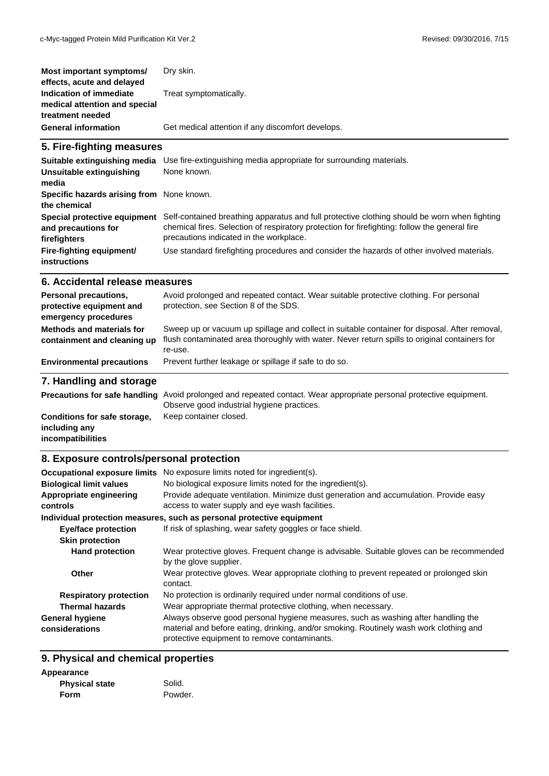| Most important symptoms/<br>effects, acute and delayed                       | Dry skin.                                         |
|------------------------------------------------------------------------------|---------------------------------------------------|
| Indication of immediate<br>medical attention and special<br>treatment needed | Treat symptomatically.                            |
| <b>General information</b>                                                   | Get medical attention if any discomfort develops. |

#### **5. Fire-fighting measures**

| Suitable extinguishing media<br>Unsuitable extinguishing<br>media   | Use fire-extinguishing media appropriate for surrounding materials.<br>None known.                                                                                                                                                       |
|---------------------------------------------------------------------|------------------------------------------------------------------------------------------------------------------------------------------------------------------------------------------------------------------------------------------|
| Specific hazards arising from None known.<br>the chemical           |                                                                                                                                                                                                                                          |
| Special protective equipment<br>and precautions for<br>firefighters | Self-contained breathing apparatus and full protective clothing should be worn when fighting<br>chemical fires. Selection of respiratory protection for firefighting: follow the general fire<br>precautions indicated in the workplace. |
| Fire-fighting equipment/<br>instructions                            | Use standard firefighting procedures and consider the hazards of other involved materials.                                                                                                                                               |

#### **6. Accidental release measures**

| Personal precautions,<br>protective equipment and<br>emergency procedures | Avoid prolonged and repeated contact. Wear suitable protective clothing. For personal<br>protection, see Section 8 of the SDS.                                                                            |
|---------------------------------------------------------------------------|-----------------------------------------------------------------------------------------------------------------------------------------------------------------------------------------------------------|
| Methods and materials for<br>containment and cleaning up                  | Sweep up or vacuum up spillage and collect in suitable container for disposal. After removal,<br>flush contaminated area thoroughly with water. Never return spills to original containers for<br>re-use. |
| <b>Environmental precautions</b>                                          | Prevent further leakage or spillage if safe to do so.                                                                                                                                                     |
| 7 Handling and oferage                                                    |                                                                                                                                                                                                           |

#### **7. Handling and storage**

|                              | Precautions for safe handling Avoid prolonged and repeated contact. Wear appropriate personal protective equipment.<br>Observe good industrial hygiene practices. |
|------------------------------|-------------------------------------------------------------------------------------------------------------------------------------------------------------------|
| Conditions for safe storage, | Keep container closed.                                                                                                                                            |
| including any                |                                                                                                                                                                   |
| incompatibilities            |                                                                                                                                                                   |

# **8. Exposure controls/personal protection**

|                                          | <b>Occupational exposure limits</b> No exposure limits noted for ingredient(s).                                                                                                                                             |
|------------------------------------------|-----------------------------------------------------------------------------------------------------------------------------------------------------------------------------------------------------------------------------|
| <b>Biological limit values</b>           | No biological exposure limits noted for the ingredient(s).                                                                                                                                                                  |
| Appropriate engineering<br>controls      | Provide adequate ventilation. Minimize dust generation and accumulation. Provide easy<br>access to water supply and eye wash facilities.                                                                                    |
|                                          | Individual protection measures, such as personal protective equipment                                                                                                                                                       |
| <b>Eye/face protection</b>               | If risk of splashing, wear safety goggles or face shield.                                                                                                                                                                   |
| <b>Skin protection</b>                   |                                                                                                                                                                                                                             |
| <b>Hand protection</b>                   | Wear protective gloves. Frequent change is advisable. Suitable gloves can be recommended<br>by the glove supplier.                                                                                                          |
| Other                                    | Wear protective gloves. Wear appropriate clothing to prevent repeated or prolonged skin<br>contact.                                                                                                                         |
| <b>Respiratory protection</b>            | No protection is ordinarily required under normal conditions of use.                                                                                                                                                        |
| <b>Thermal hazards</b>                   | Wear appropriate thermal protective clothing, when necessary.                                                                                                                                                               |
| <b>General hygiene</b><br>considerations | Always observe good personal hygiene measures, such as washing after handling the<br>material and before eating, drinking, and/or smoking. Routinely wash work clothing and<br>protective equipment to remove contaminants. |

### **9. Physical and chemical properties**

| Appearance            |         |
|-----------------------|---------|
| <b>Physical state</b> | Solid.  |
| Form                  | Powder. |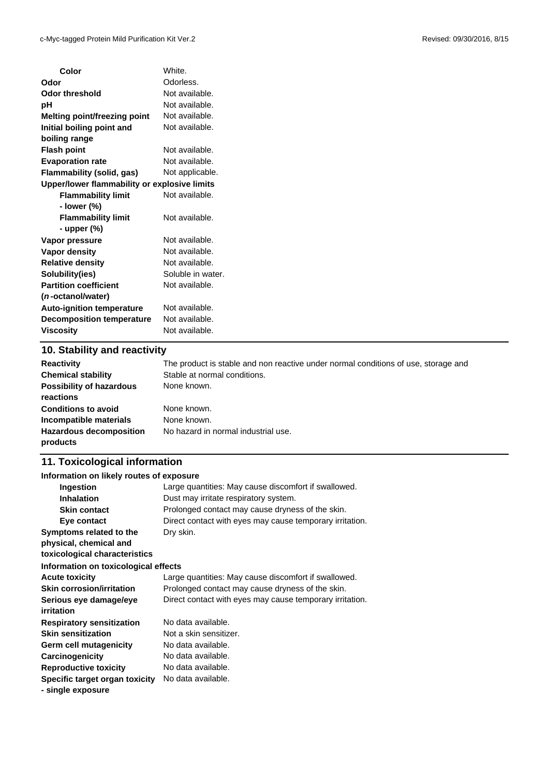L,

| Color                                        | White.            |
|----------------------------------------------|-------------------|
| Odor                                         | Odorless.         |
| Odor threshold                               | Not available.    |
| pH                                           | Not available.    |
| Melting point/freezing point                 | Not available.    |
| Initial boiling point and                    | Not available.    |
| boiling range                                |                   |
| <b>Flash point</b>                           | Not available.    |
| <b>Evaporation rate</b>                      | Not available.    |
| Flammability (solid, gas)                    | Not applicable.   |
| Upper/lower flammability or explosive limits |                   |
| <b>Flammability limit</b>                    | Not available.    |
| - lower (%)                                  |                   |
| <b>Flammability limit</b>                    | Not available.    |
| - upper (%)                                  |                   |
| Vapor pressure                               | Not available.    |
| Vapor density                                | Not available.    |
| <b>Relative density</b>                      | Not available.    |
| Solubility(ies)                              | Soluble in water. |
| <b>Partition coefficient</b>                 | Not available.    |
| (n-octanol/water)                            |                   |
| <b>Auto-ignition temperature</b>             | Not available.    |
| <b>Decomposition temperature</b>             | Not available.    |
| <b>Viscosity</b>                             | Not available.    |
|                                              |                   |

### **10. Stability and reactivity**

| <b>Reactivity</b>                            | The product is stable and non reactive under normal conditions of use, storage and |
|----------------------------------------------|------------------------------------------------------------------------------------|
| <b>Chemical stability</b>                    | Stable at normal conditions.                                                       |
| <b>Possibility of hazardous</b><br>reactions | None known.                                                                        |
| <b>Conditions to avoid</b>                   | None known.                                                                        |
| Incompatible materials                       | None known.                                                                        |
| <b>Hazardous decomposition</b><br>products   | No hazard in normal industrial use.                                                |

## **11. Toxicological information**

#### **Information on likely routes of exposure**

| Ingestion                            | Large quantities: May cause discomfort if swallowed.     |  |  |
|--------------------------------------|----------------------------------------------------------|--|--|
| <b>Inhalation</b>                    | Dust may irritate respiratory system.                    |  |  |
| <b>Skin contact</b>                  | Prolonged contact may cause dryness of the skin.         |  |  |
| Eye contact                          | Direct contact with eyes may cause temporary irritation. |  |  |
| Symptoms related to the              | Dry skin.                                                |  |  |
| physical, chemical and               |                                                          |  |  |
| toxicological characteristics        |                                                          |  |  |
| Information on toxicological effects |                                                          |  |  |
| <b>Acute toxicity</b>                | Large quantities: May cause discomfort if swallowed.     |  |  |
| <b>Skin corrosion/irritation</b>     | Prolonged contact may cause dryness of the skin.         |  |  |
| Serious eye damage/eye               | Direct contact with eyes may cause temporary irritation. |  |  |
| irritation                           |                                                          |  |  |
| <b>Respiratory sensitization</b>     | No data available.                                       |  |  |
| <b>Skin sensitization</b>            | Not a skin sensitizer.                                   |  |  |
| Germ cell mutagenicity               | No data available.                                       |  |  |
| Carcinogenicity                      | No data available.                                       |  |  |
| <b>Reproductive toxicity</b>         | No data available.                                       |  |  |
| Specific target organ toxicity       | No data available.                                       |  |  |
| - single exposure                    |                                                          |  |  |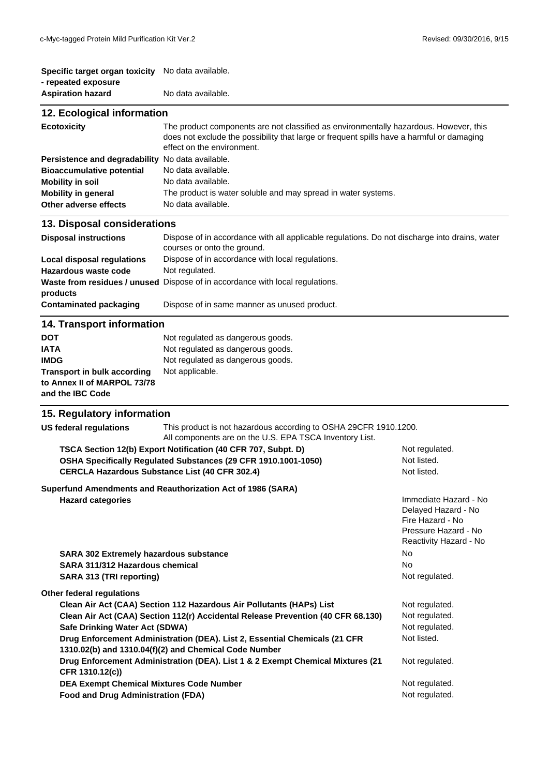| Specific target organ toxicity No data available.<br>- repeated exposure                                                                                                                 |                                                                                                                                                                                                                                        |                                                                                                                    |  |
|------------------------------------------------------------------------------------------------------------------------------------------------------------------------------------------|----------------------------------------------------------------------------------------------------------------------------------------------------------------------------------------------------------------------------------------|--------------------------------------------------------------------------------------------------------------------|--|
| <b>Aspiration hazard</b>                                                                                                                                                                 | No data available.                                                                                                                                                                                                                     |                                                                                                                    |  |
| 12. Ecological information                                                                                                                                                               |                                                                                                                                                                                                                                        |                                                                                                                    |  |
| <b>Ecotoxicity</b>                                                                                                                                                                       | The product components are not classified as environmentally hazardous. However, this<br>does not exclude the possibility that large or frequent spills have a harmful or damaging<br>effect on the environment.                       |                                                                                                                    |  |
| Persistence and degradability No data available.<br><b>Bioaccumulative potential</b><br><b>Mobility in soil</b><br><b>Mobility in general</b><br>Other adverse effects                   | No data available.<br>No data available.<br>The product is water soluble and may spread in water systems.<br>No data available.                                                                                                        |                                                                                                                    |  |
| 13. Disposal considerations                                                                                                                                                              |                                                                                                                                                                                                                                        |                                                                                                                    |  |
| <b>Disposal instructions</b>                                                                                                                                                             | Dispose of in accordance with all applicable regulations. Do not discharge into drains, water<br>courses or onto the ground.                                                                                                           |                                                                                                                    |  |
| <b>Local disposal regulations</b><br><b>Hazardous waste code</b><br>products                                                                                                             | Dispose of in accordance with local regulations.<br>Not regulated.<br>Waste from residues / unused Dispose of in accordance with local regulations.                                                                                    |                                                                                                                    |  |
| <b>Contaminated packaging</b>                                                                                                                                                            | Dispose of in same manner as unused product.                                                                                                                                                                                           |                                                                                                                    |  |
| 14. Transport information                                                                                                                                                                |                                                                                                                                                                                                                                        |                                                                                                                    |  |
| <b>DOT</b><br><b>IATA</b><br><b>IMDG</b><br><b>Transport in bulk according</b><br>to Annex II of MARPOL 73/78<br>and the IBC Code                                                        | Not regulated as dangerous goods.<br>Not regulated as dangerous goods.<br>Not regulated as dangerous goods.<br>Not applicable.                                                                                                         |                                                                                                                    |  |
| 15. Regulatory information                                                                                                                                                               |                                                                                                                                                                                                                                        |                                                                                                                    |  |
| <b>US federal regulations</b>                                                                                                                                                            | This product is not hazardous according to OSHA 29CFR 1910.1200.<br>All components are on the U.S. EPA TSCA Inventory List.                                                                                                            |                                                                                                                    |  |
| TSCA Section 12(b) Export Notification (40 CFR 707, Subpt. D)<br>OSHA Specifically Regulated Substances (29 CFR 1910.1001-1050)<br><b>CERCLA Hazardous Substance List (40 CFR 302.4)</b> |                                                                                                                                                                                                                                        | Not regulated.<br>Not listed.<br>Not listed.                                                                       |  |
| <b>Hazard categories</b>                                                                                                                                                                 | Superfund Amendments and Reauthorization Act of 1986 (SARA)                                                                                                                                                                            | Immediate Hazard - No<br>Delayed Hazard - No<br>Fire Hazard - No<br>Pressure Hazard - No<br>Reactivity Hazard - No |  |
| <b>SARA 302 Extremely hazardous substance</b><br>SARA 311/312 Hazardous chemical<br><b>SARA 313 (TRI reporting)</b>                                                                      |                                                                                                                                                                                                                                        | No<br>No<br>Not regulated.                                                                                         |  |
| Other federal regulations<br>Safe Drinking Water Act (SDWA)                                                                                                                              | Clean Air Act (CAA) Section 112 Hazardous Air Pollutants (HAPs) List<br>Clean Air Act (CAA) Section 112(r) Accidental Release Prevention (40 CFR 68.130)<br>Drug Enforcement Administration (DEA). List 2, Essential Chemicals (21 CFR | Not regulated.<br>Not regulated.<br>Not regulated.<br>Not listed.                                                  |  |
| 1310.02(b) and 1310.04(f)(2) and Chemical Code Number<br>Drug Enforcement Administration (DEA). List 1 & 2 Exempt Chemical Mixtures (21                                                  |                                                                                                                                                                                                                                        | Not regulated.                                                                                                     |  |

**Drug Enforcement Administration (DEA). List 1 & 2 Exempt Chemical Mixtures (21 CFR 1310.12(c))** DEA Exempt Chemical Mixtures Code Number Not regulated.

Food and Drug Administration (FDA) **Not regulated.** Not regulated.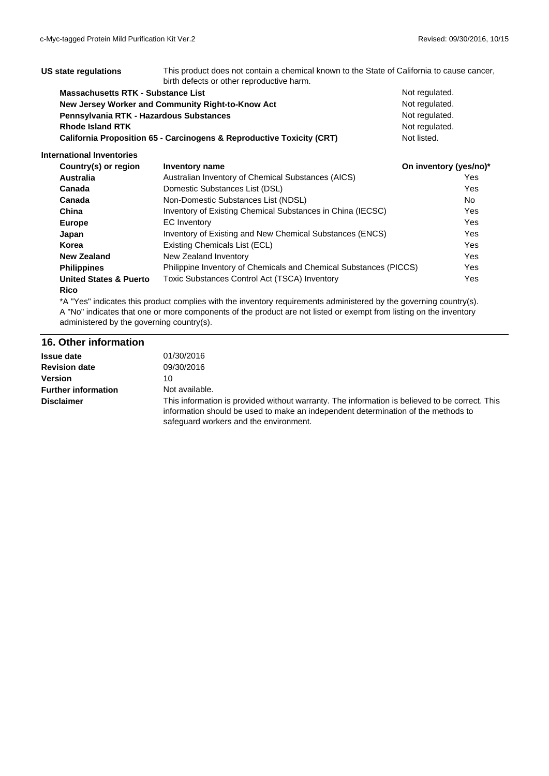| US state regulations<br>This product does not contain a chemical known to the State of California to cause cancer.<br>birth defects or other reproductive harm. |                                                                                  |                        |            |
|-----------------------------------------------------------------------------------------------------------------------------------------------------------------|----------------------------------------------------------------------------------|------------------------|------------|
| Massachusetts RTK - Substance List                                                                                                                              |                                                                                  | Not regulated.         |            |
| New Jersey Worker and Community Right-to-Know Act                                                                                                               |                                                                                  | Not regulated.         |            |
| Pennsylvania RTK - Hazardous Substances                                                                                                                         |                                                                                  | Not regulated.         |            |
| <b>Rhode Island RTK</b>                                                                                                                                         |                                                                                  | Not regulated.         |            |
|                                                                                                                                                                 | <b>California Proposition 65 - Carcinogens &amp; Reproductive Toxicity (CRT)</b> | Not listed.            |            |
| International Inventories                                                                                                                                       |                                                                                  |                        |            |
| Country(s) or region                                                                                                                                            | Inventory name                                                                   | On inventory (yes/no)* |            |
| <b>Australia</b>                                                                                                                                                | Australian Inventory of Chemical Substances (AICS)                               |                        | Yes        |
| Canada                                                                                                                                                          | Domestic Substances List (DSL)                                                   |                        | Yes        |
| Canada                                                                                                                                                          | Non-Domestic Substances List (NDSL)                                              |                        | No.        |
| China                                                                                                                                                           | Inventory of Existing Chemical Substances in China (IECSC)                       |                        | Yes        |
| <b>Europe</b>                                                                                                                                                   | <b>EC</b> Inventory                                                              |                        | <b>Yes</b> |
| Japan                                                                                                                                                           | Inventory of Existing and New Chemical Substances (ENCS)                         |                        | Yes        |
| Korea                                                                                                                                                           | Existing Chemicals List (ECL)                                                    |                        | <b>Yes</b> |
| <b>New Zealand</b>                                                                                                                                              | New Zealand Inventory                                                            |                        | Yes        |
| <b>Philippines</b>                                                                                                                                              | Philippine Inventory of Chemicals and Chemical Substances (PICCS)                |                        | Yes        |
| <b>United States &amp; Puerto</b>                                                                                                                               | Toxic Substances Control Act (TSCA) Inventory                                    |                        | Yes        |

#### **Rico**

\*A "Yes" indicates this product complies with the inventory requirements administered by the governing country(s). A "No" indicates that one or more components of the product are not listed or exempt from listing on the inventory administered by the governing country(s).

#### **16. Other information**

| <b>Issue date</b>          | 01/30/2016                                                                                                                                                                                                                    |
|----------------------------|-------------------------------------------------------------------------------------------------------------------------------------------------------------------------------------------------------------------------------|
| <b>Revision date</b>       | 09/30/2016                                                                                                                                                                                                                    |
| <b>Version</b>             | 10                                                                                                                                                                                                                            |
| <b>Further information</b> | Not available.                                                                                                                                                                                                                |
| <b>Disclaimer</b>          | This information is provided without warranty. The information is believed to be correct. This<br>information should be used to make an independent determination of the methods to<br>safeguard workers and the environment. |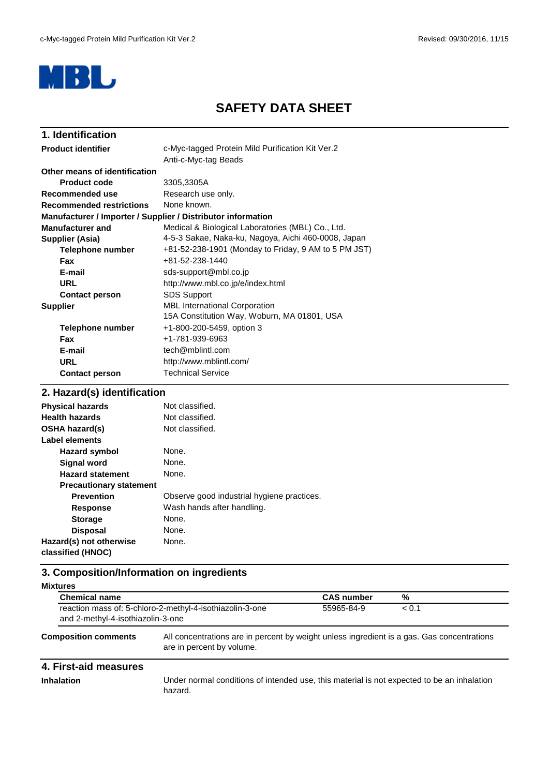

# **SAFETY DATA SHEET**

| 1. Identification                                            |                                                      |  |  |
|--------------------------------------------------------------|------------------------------------------------------|--|--|
| <b>Product identifier</b>                                    | c-Myc-tagged Protein Mild Purification Kit Ver.2     |  |  |
|                                                              | Anti-c-Myc-tag Beads                                 |  |  |
| Other means of identification                                |                                                      |  |  |
| <b>Product code</b>                                          | 3305,3305A                                           |  |  |
| Recommended use                                              | Research use only.                                   |  |  |
| <b>Recommended restrictions</b>                              | None known.                                          |  |  |
| Manufacturer / Importer / Supplier / Distributor information |                                                      |  |  |
| <b>Manufacturer and</b>                                      | Medical & Biological Laboratories (MBL) Co., Ltd.    |  |  |
| Supplier (Asia)                                              | 4-5-3 Sakae, Naka-ku, Nagoya, Aichi 460-0008, Japan  |  |  |
| <b>Telephone number</b>                                      | +81-52-238-1901 (Monday to Friday, 9 AM to 5 PM JST) |  |  |
| <b>Fax</b>                                                   | +81-52-238-1440                                      |  |  |
| E-mail                                                       | sds-support@mbl.co.jp                                |  |  |
| <b>URL</b>                                                   | http://www.mbl.co.jp/e/index.html                    |  |  |
| <b>Contact person</b>                                        | <b>SDS Support</b>                                   |  |  |
| <b>Supplier</b>                                              | <b>MBL</b> International Corporation                 |  |  |
|                                                              | 15A Constitution Way, Woburn, MA 01801, USA          |  |  |
| <b>Telephone number</b>                                      | +1-800-200-5459, option 3                            |  |  |
| Fax                                                          | +1-781-939-6963                                      |  |  |
| E-mail                                                       | tech@mblintl.com                                     |  |  |
| <b>URL</b>                                                   | http://www.mblintl.com/                              |  |  |
| <b>Contact person</b>                                        | <b>Technical Service</b>                             |  |  |
|                                                              |                                                      |  |  |

## **2. Hazard(s) identification**

| <b>Physical hazards</b>        | Not classified.                            |
|--------------------------------|--------------------------------------------|
| <b>Health hazards</b>          | Not classified.                            |
| <b>OSHA hazard(s)</b>          | Not classified.                            |
| Label elements                 |                                            |
| Hazard symbol                  | None.                                      |
| <b>Signal word</b>             | None.                                      |
| <b>Hazard statement</b>        | None.                                      |
| <b>Precautionary statement</b> |                                            |
| <b>Prevention</b>              | Observe good industrial hygiene practices. |
| <b>Response</b>                | Wash hands after handling.                 |
| <b>Storage</b>                 | None.                                      |
| <b>Disposal</b>                | None.                                      |
| Hazard(s) not otherwise        | None.                                      |
| classified (HNOC)              |                                            |

# **3. Composition/Information on ingredients**

| <b>Mixtures</b>                                                                                                       |                                                                                                                         |                   |            |  |
|-----------------------------------------------------------------------------------------------------------------------|-------------------------------------------------------------------------------------------------------------------------|-------------------|------------|--|
| <b>Chemical name</b><br>reaction mass of: 5-chloro-2-methyl-4-isothiazolin-3-one<br>and 2-methyl-4-isothiazolin-3-one |                                                                                                                         | <b>CAS number</b> | %<br>< 0.1 |  |
|                                                                                                                       |                                                                                                                         | 55965-84-9        |            |  |
| <b>Composition comments</b>                                                                                           | All concentrations are in percent by weight unless ingredient is a gas. Gas concentrations<br>are in percent by volume. |                   |            |  |

### **4. First-aid measures**

**Inhalation** Under normal conditions of intended use, this material is not expected to be an inhalation hazard.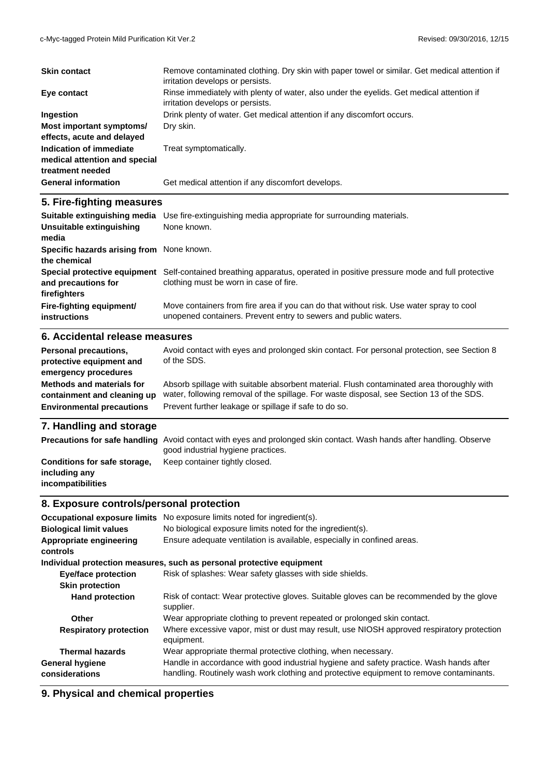| <b>Skin contact</b>                                                                                 | Remove contaminated clothing. Dry skin with paper towel or similar. Get medical attention if<br>irritation develops or persists.                                                                                                               |
|-----------------------------------------------------------------------------------------------------|------------------------------------------------------------------------------------------------------------------------------------------------------------------------------------------------------------------------------------------------|
| Eye contact                                                                                         | Rinse immediately with plenty of water, also under the eyelids. Get medical attention if<br>irritation develops or persists.                                                                                                                   |
| Ingestion                                                                                           | Drink plenty of water. Get medical attention if any discomfort occurs.                                                                                                                                                                         |
| Most important symptoms/<br>effects, acute and delayed                                              | Dry skin.                                                                                                                                                                                                                                      |
| Indication of immediate                                                                             | Treat symptomatically.                                                                                                                                                                                                                         |
| medical attention and special                                                                       |                                                                                                                                                                                                                                                |
| treatment needed                                                                                    |                                                                                                                                                                                                                                                |
| <b>General information</b>                                                                          | Get medical attention if any discomfort develops.                                                                                                                                                                                              |
| 5. Fire-fighting measures                                                                           |                                                                                                                                                                                                                                                |
|                                                                                                     | Suitable extinguishing media Use fire-extinguishing media appropriate for surrounding materials.                                                                                                                                               |
| Unsuitable extinguishing<br>media                                                                   | None known.                                                                                                                                                                                                                                    |
| Specific hazards arising from None known.<br>the chemical                                           |                                                                                                                                                                                                                                                |
| and precautions for<br>firefighters                                                                 | Special protective equipment Self-contained breathing apparatus, operated in positive pressure mode and full protective<br>clothing must be worn in case of fire.                                                                              |
| Fire-fighting equipment/<br><b>instructions</b>                                                     | Move containers from fire area if you can do that without risk. Use water spray to cool<br>unopened containers. Prevent entry to sewers and public waters.                                                                                     |
| 6. Accidental release measures                                                                      |                                                                                                                                                                                                                                                |
| <b>Personal precautions,</b><br>protective equipment and<br>emergency procedures                    | Avoid contact with eyes and prolonged skin contact. For personal protection, see Section 8<br>of the SDS.                                                                                                                                      |
| <b>Methods and materials for</b><br>containment and cleaning up<br><b>Environmental precautions</b> | Absorb spillage with suitable absorbent material. Flush contaminated area thoroughly with<br>water, following removal of the spillage. For waste disposal, see Section 13 of the SDS.<br>Prevent further leakage or spillage if safe to do so. |

# **7. Handling and storage**

|                                                                    | <b>Precautions for safe handling</b> Avoid contact with eyes and prolonged skin contact. Wash hands after handling. Observe<br>good industrial hygiene practices. |
|--------------------------------------------------------------------|-------------------------------------------------------------------------------------------------------------------------------------------------------------------|
| Conditions for safe storage,<br>including any<br>incompatibilities | Keep container tightly closed.                                                                                                                                    |

# **8. Exposure controls/personal protection**

| Occupational exposure limits<br><b>Biological limit values</b><br>Appropriate engineering | No exposure limits noted for ingredient(s).<br>No biological exposure limits noted for the ingredient(s).<br>Ensure adequate ventilation is available, especially in confined areas. |
|-------------------------------------------------------------------------------------------|--------------------------------------------------------------------------------------------------------------------------------------------------------------------------------------|
| controls                                                                                  |                                                                                                                                                                                      |
|                                                                                           | Individual protection measures, such as personal protective equipment                                                                                                                |
| <b>Eye/face protection</b>                                                                | Risk of splashes: Wear safety glasses with side shields.                                                                                                                             |
| <b>Skin protection</b>                                                                    |                                                                                                                                                                                      |
| <b>Hand protection</b>                                                                    | Risk of contact: Wear protective gloves. Suitable gloves can be recommended by the glove<br>supplier.                                                                                |
| Other                                                                                     | Wear appropriate clothing to prevent repeated or prolonged skin contact.                                                                                                             |
| <b>Respiratory protection</b>                                                             | Where excessive vapor, mist or dust may result, use NIOSH approved respiratory protection<br>equipment.                                                                              |
| <b>Thermal hazards</b>                                                                    | Wear appropriate thermal protective clothing, when necessary.                                                                                                                        |
| <b>General hygiene</b><br>considerations                                                  | Handle in accordance with good industrial hygiene and safety practice. Wash hands after<br>handling. Routinely wash work clothing and protective equipment to remove contaminants.   |

# **9. Physical and chemical properties**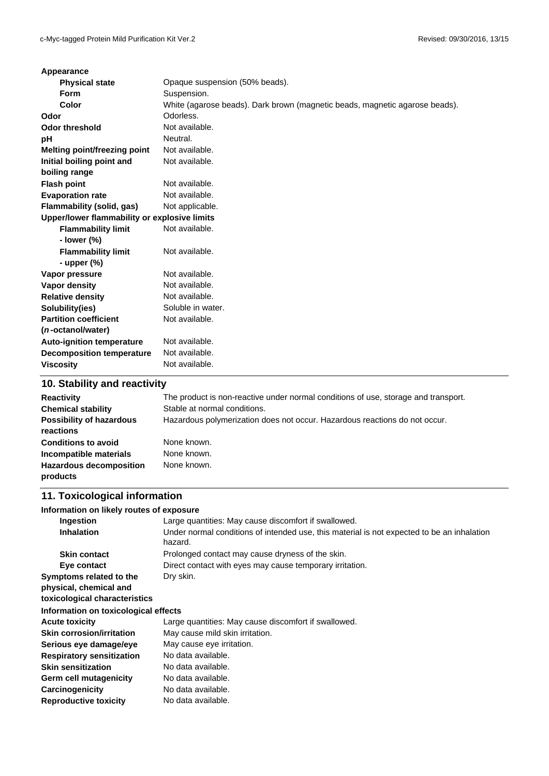| Appearance                                   |                                                                             |
|----------------------------------------------|-----------------------------------------------------------------------------|
| <b>Physical state</b>                        | Opaque suspension (50% beads).                                              |
| <b>Form</b>                                  | Suspension.                                                                 |
| Color                                        | White (agarose beads). Dark brown (magnetic beads, magnetic agarose beads). |
| Odor                                         | Odorless.                                                                   |
| <b>Odor threshold</b>                        | Not available.                                                              |
| рH                                           | Neutral.                                                                    |
| <b>Melting point/freezing point</b>          | Not available.                                                              |
| Initial boiling point and                    | Not available.                                                              |
| boiling range                                |                                                                             |
| <b>Flash point</b>                           | Not available.                                                              |
| <b>Evaporation rate</b>                      | Not available.                                                              |
| Flammability (solid, gas)                    | Not applicable.                                                             |
| Upper/lower flammability or explosive limits |                                                                             |
| <b>Flammability limit</b>                    | Not available.                                                              |
| - lower (%)                                  |                                                                             |
| <b>Flammability limit</b>                    | Not available.                                                              |
| - upper $(\%)$                               |                                                                             |
| Vapor pressure                               | Not available.                                                              |
| Vapor density                                | Not available.                                                              |
| <b>Relative density</b>                      | Not available.                                                              |
| Solubility(ies)                              | Soluble in water.                                                           |
| <b>Partition coefficient</b>                 | Not available.                                                              |
| (n-octanol/water)                            |                                                                             |
| <b>Auto-ignition temperature</b>             | Not available.                                                              |
| <b>Decomposition temperature</b>             | Not available.                                                              |
| <b>Viscosity</b>                             | Not available.                                                              |
|                                              |                                                                             |

### **10. Stability and reactivity**

| <b>Reactivity</b><br><b>Chemical stability</b><br><b>Possibility of hazardous</b><br>reactions | The product is non-reactive under normal conditions of use, storage and transport.<br>Stable at normal conditions.<br>Hazardous polymerization does not occur. Hazardous reactions do not occur. |
|------------------------------------------------------------------------------------------------|--------------------------------------------------------------------------------------------------------------------------------------------------------------------------------------------------|
| <b>Conditions to avoid</b><br>Incompatible materials                                           | None known.<br>None known.                                                                                                                                                                       |
| <b>Hazardous decomposition</b><br>products                                                     | None known.                                                                                                                                                                                      |

## **11. Toxicological information**

#### **Information on likely routes of exposure**

| Ingestion                                                                          | Large quantities: May cause discomfort if swallowed.                                                  |
|------------------------------------------------------------------------------------|-------------------------------------------------------------------------------------------------------|
| <b>Inhalation</b>                                                                  | Under normal conditions of intended use, this material is not expected to be an inhalation<br>hazard. |
| <b>Skin contact</b>                                                                | Prolonged contact may cause dryness of the skin.                                                      |
| Eye contact                                                                        | Direct contact with eyes may cause temporary irritation.                                              |
| Symptoms related to the<br>physical, chemical and<br>toxicological characteristics | Dry skin.                                                                                             |
| Information on toxicological effects                                               |                                                                                                       |
| <b>Acute toxicity</b>                                                              | Large quantities: May cause discomfort if swallowed.                                                  |
| <b>Skin corrosion/irritation</b>                                                   | May cause mild skin irritation.                                                                       |
| Serious eye damage/eye                                                             | May cause eye irritation.                                                                             |
| <b>Respiratory sensitization</b>                                                   | No data available.                                                                                    |
| <b>Skin sensitization</b>                                                          | No data available.                                                                                    |
| Germ cell mutagenicity                                                             | No data available.                                                                                    |
| Carcinogenicity                                                                    | No data available.                                                                                    |
| <b>Reproductive toxicity</b>                                                       | No data available.                                                                                    |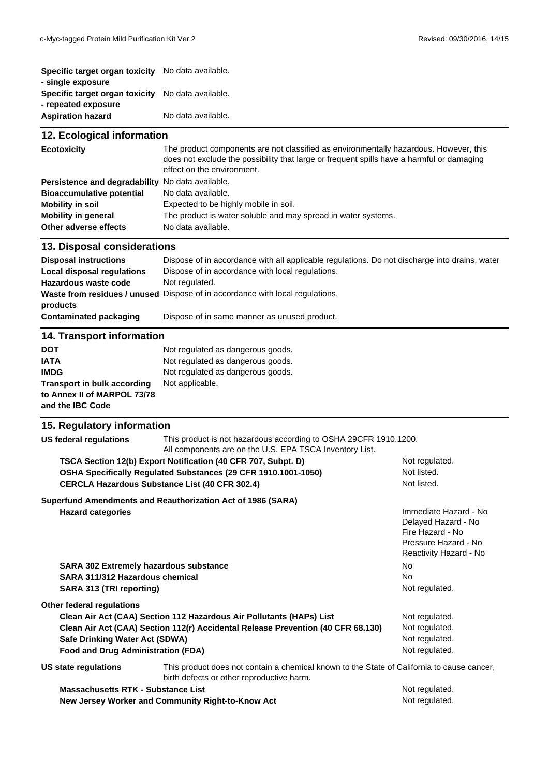| Specific target organ toxicity No data available. |
|---------------------------------------------------|
|                                                   |
| No data available.                                |
|                                                   |
| No data available.                                |
|                                                   |

### **12. Ecological information**

| <b>Ecotoxicity</b>                               | The product components are not classified as environmentally hazardous. However, this<br>does not exclude the possibility that large or frequent spills have a harmful or damaging<br>effect on the environment. |  |
|--------------------------------------------------|------------------------------------------------------------------------------------------------------------------------------------------------------------------------------------------------------------------|--|
| Persistence and degradability No data available. |                                                                                                                                                                                                                  |  |
| <b>Bioaccumulative potential</b>                 | No data available.                                                                                                                                                                                               |  |
| <b>Mobility in soil</b>                          | Expected to be highly mobile in soil.                                                                                                                                                                            |  |
| <b>Mobility in general</b>                       | The product is water soluble and may spread in water systems.                                                                                                                                                    |  |
| Other adverse effects                            | No data available.                                                                                                                                                                                               |  |

#### **13. Disposal considerations**

| <b>Disposal instructions</b><br>Local disposal regulations<br>Hazardous waste code | Dispose of in accordance with all applicable regulations. Do not discharge into drains, water<br>Dispose of in accordance with local regulations.<br>Not regulated.<br><b>Waste from residues / unused</b> Dispose of in accordance with local regulations. |
|------------------------------------------------------------------------------------|-------------------------------------------------------------------------------------------------------------------------------------------------------------------------------------------------------------------------------------------------------------|
| products                                                                           |                                                                                                                                                                                                                                                             |
| Contaminated packaging                                                             | Dispose of in same manner as unused product.                                                                                                                                                                                                                |
| <b>14. Transport information</b>                                                   |                                                                                                                                                                                                                                                             |
| <b>DOT</b>                                                                         | Not regulated as dangerous goods.                                                                                                                                                                                                                           |
| <b>IATA</b>                                                                        | Not regulated as dangerous goods.                                                                                                                                                                                                                           |
| <b>IMDG</b>                                                                        | Not regulated as dangerous goods.                                                                                                                                                                                                                           |
| <b>Transport in bulk according</b>                                                 | Not applicable.                                                                                                                                                                                                                                             |
| to Annex II of MARPOL 73/78                                                        |                                                                                                                                                                                                                                                             |

# **and the IBC Code**

#### **15. Regulatory information**

| This product is not hazardous according to OSHA 29CFR 1910.1200.<br><b>US federal regulations</b><br>All components are on the U.S. EPA TSCA Inventory List. |                                                                                                                                         |                                                                                                                    |
|--------------------------------------------------------------------------------------------------------------------------------------------------------------|-----------------------------------------------------------------------------------------------------------------------------------------|--------------------------------------------------------------------------------------------------------------------|
|                                                                                                                                                              | TSCA Section 12(b) Export Notification (40 CFR 707, Subpt. D)                                                                           | Not regulated.                                                                                                     |
|                                                                                                                                                              | OSHA Specifically Regulated Substances (29 CFR 1910.1001-1050)                                                                          | Not listed.                                                                                                        |
|                                                                                                                                                              | <b>CERCLA Hazardous Substance List (40 CFR 302.4)</b>                                                                                   | Not listed.                                                                                                        |
|                                                                                                                                                              | Superfund Amendments and Reauthorization Act of 1986 (SARA)                                                                             |                                                                                                                    |
| <b>Hazard categories</b>                                                                                                                                     |                                                                                                                                         | Immediate Hazard - No<br>Delayed Hazard - No<br>Fire Hazard - No<br>Pressure Hazard - No<br>Reactivity Hazard - No |
| <b>SARA 302 Extremely hazardous substance</b>                                                                                                                |                                                                                                                                         | <b>No</b>                                                                                                          |
| SARA 311/312 Hazardous chemical                                                                                                                              |                                                                                                                                         | <b>No</b>                                                                                                          |
| SARA 313 (TRI reporting)                                                                                                                                     |                                                                                                                                         | Not regulated.                                                                                                     |
| Other federal regulations                                                                                                                                    |                                                                                                                                         |                                                                                                                    |
|                                                                                                                                                              | Clean Air Act (CAA) Section 112 Hazardous Air Pollutants (HAPs) List                                                                    | Not regulated.                                                                                                     |
| Clean Air Act (CAA) Section 112(r) Accidental Release Prevention (40 CFR 68.130)                                                                             |                                                                                                                                         | Not regulated.                                                                                                     |
| Safe Drinking Water Act (SDWA)                                                                                                                               |                                                                                                                                         | Not regulated.                                                                                                     |
| <b>Food and Drug Administration (FDA)</b>                                                                                                                    |                                                                                                                                         | Not regulated.                                                                                                     |
| US state regulations                                                                                                                                         | This product does not contain a chemical known to the State of California to cause cancer,<br>birth defects or other reproductive harm. |                                                                                                                    |
| <b>Massachusetts RTK - Substance List</b>                                                                                                                    |                                                                                                                                         | Not regulated.                                                                                                     |
| New Jersey Worker and Community Right-to-Know Act                                                                                                            |                                                                                                                                         | Not regulated.                                                                                                     |